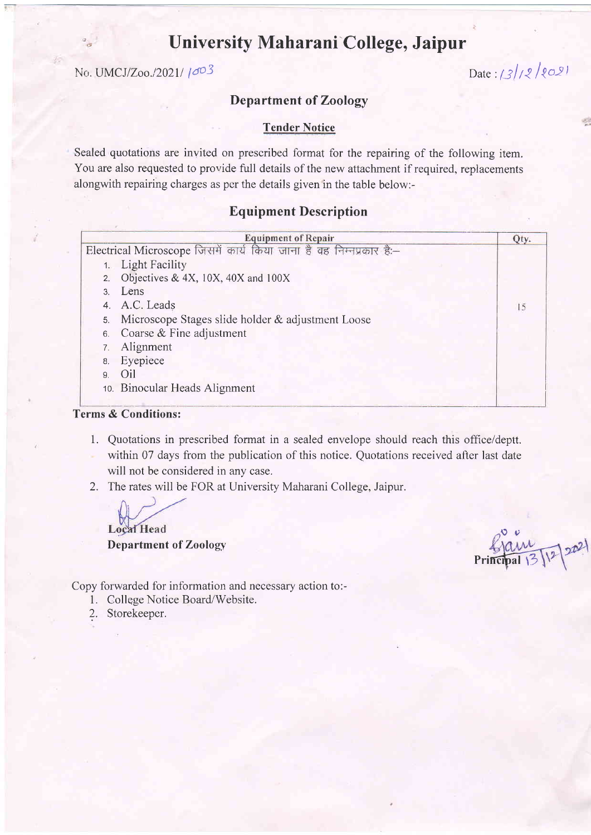# University Maharani-College, Jaipur

 $\ln \text{UMCJ/Zoo.}/2021 / \text{e}^{O(3)}$  Date:  $\frac{S}{2} / 2 \text{e}^{O(3)}$ 

## Department of Zoology

## Tender Notice

Sealed quotations are invited on prescribed format for the repairing of the following item. You are also requested to provide full details of the new attachment if required, replacements alongwith repairing charges as pcr the details given in the table below:-

## Equipment Description

| <b>Equipment of Repair</b> |                                                                     |      |  |
|----------------------------|---------------------------------------------------------------------|------|--|
|                            | Electrical Microscope जिसमें कार्य किया जाना है वह निम्नप्रकार है:- | Qty. |  |
|                            | 1. Light Facility                                                   |      |  |
|                            | 2. Objectives & 4X, $10X$ , $40X$ and $100X$                        |      |  |
|                            | 3. Lens                                                             |      |  |
|                            | 4. A.C. Leads                                                       | 15   |  |
| 5.                         | Microscope Stages slide holder & adjustment Loose                   |      |  |
| 6.                         | Coarse & Fine adjustment                                            |      |  |
|                            | Alignment                                                           |      |  |
| 8.                         | Eyepiece                                                            |      |  |
| $\mathbf{q}$               | Oil                                                                 |      |  |
|                            | 10. Binocular Heads Alignment                                       |      |  |

### Terms & Conditions:

- 1. Quotations in prescribed format in a sealed envelope should reach this office/deptt. within 07 days from the publication of this notice. Quotations received after last date will not be considered in any case.
- 2. The rates will be FOR at University Maharani College, Jaipur.

**Local Head** 

Department of Zoology

 $\circ$ Principal  $\frac{3}{2}$ 

Copy forwarded for information and necessary action to:-

- 1. College Notice Board/Website.
- ?. Storekeeper.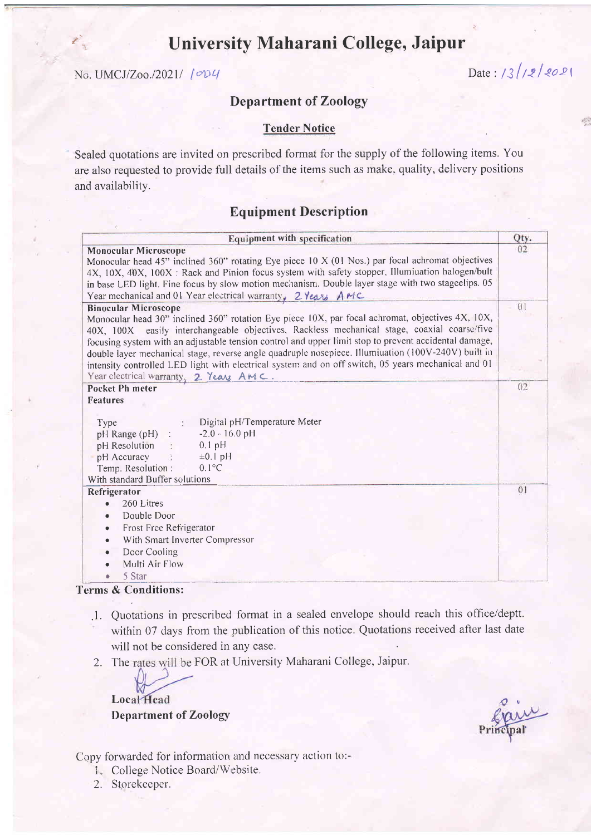# University Maharani College, Jaipur

 $N_{\rm G.}$  UMCJ/Zoo./2021/  $[0.2]$ 

p;r

## Department of Zoology

### **Tender Notice**

Sealed quotations are invited on prescribed format for the supply of the following items. You are also requested to provide full details of the items such as rnake, quality, delivery positions and availability.

## Equipment Description

| <b>Equipment with specification</b>                                                                                                                                                                                                                                                                                                                                                                                                                                                                                                                                                             | Qty. |
|-------------------------------------------------------------------------------------------------------------------------------------------------------------------------------------------------------------------------------------------------------------------------------------------------------------------------------------------------------------------------------------------------------------------------------------------------------------------------------------------------------------------------------------------------------------------------------------------------|------|
| <b>Monocular Microscope</b><br>Monocular head 45" inclined 360" rotating Eye piece 10 X (01 Nos.) par focal achromat objectives<br>4X, 10X, 40X, 100X : Rack and Pinion focus system with safety stopper, Illumiuation halogen/bult<br>in base LED light. Fine focus by slow motion mechanism. Double layer stage with two stageelips. 05<br>Year mechanical and 01 Year electrical warranty, 2 Years AMC                                                                                                                                                                                       | 02   |
| <b>Binocular Microscope</b><br>Monocular head 30" inclined 360" rotation Eye piece 10X, par focal achromat, objectives 4X, 10X,<br>40X, 100X easily interchangeable objectives, Rackless mechanical stage, coaxial coarse/five<br>focusing system with an adjustable tension control and upper limit stop to prevent accidental damage,<br>double layer mechanical stage, reverse angle quadruple nosepiece. Illumiuation (100V-240V) built in<br>intensity controlled LED light with electrical system and on off switch, 05 years mechanical and 01<br>Year electrical warranty, 2 Years AMC. | 01   |
| <b>Pocket Ph meter</b><br><b>Features</b><br>Digital pH/Temperature Meter<br>Type<br>$-2.0 - 16.0$ pH<br>pH Range (pH) :<br>$0.1$ pH<br>pH Resolution :<br>pH Accuracy<br>$\pm 0.1$ pH<br>$0.1^{\circ}C$<br>Temp. Resolution :<br>With standard Buffer solutions                                                                                                                                                                                                                                                                                                                                | 02   |
| Refrigerator<br>260 Litres<br>Double Door<br>٠<br>Frost Free Refrigerator<br>٠<br>With Smart Inverter Compressor<br>$\bullet$<br>Door Cooling<br>$\bullet$<br>Multi Air Flow<br>5 Star                                                                                                                                                                                                                                                                                                                                                                                                          | 01   |

#### Terms & Conditions:

- .1. Quotations in prescribed format in a sealed envelope should reach this office/deptt. within 07 days from the publication of this notice. Quotations received after last date will not be considered in any case.
- 2. The rates will be FOR at University Maharani College, Jaipur.

Local Head and the contract of the contract of the contract of the contract of the contract of the contract of the contract of the contract of the contract of the contract of the contract of the contract of the contract of Department of Zoology

Copy forwarded for information and necessary action to:-

- i. College Notice Board/Website.
- 2. Storekeeper.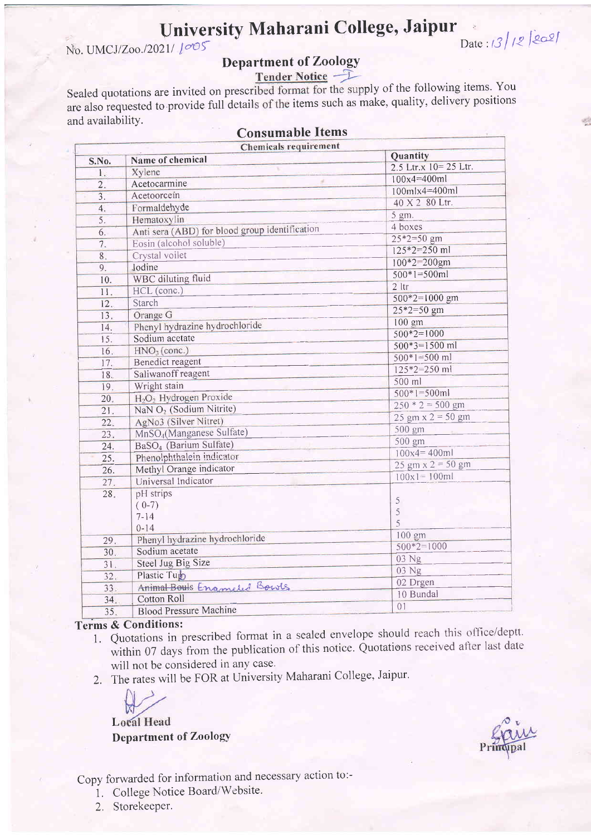# University Maharani College, Jaipur

No. UMCJ/Zoo./2021/ 1005

# Date:  $3/2$   $20$

# **Department of Zoology**

Tender Notice –

Sealed quotations are invited on prescribed format for the supply of the following items. You are also requested to provide full details of the items such as make, quality, delivery positions and availability.

**Consumable Items** 

|                  | <b>Chemicals requirement</b>                   |                                             |
|------------------|------------------------------------------------|---------------------------------------------|
| S.No.            | Name of chemical                               | <b>Quantity</b><br>2.5 Ltr.x $10 = 25$ Ltr. |
| 1.               | Xylene                                         | $100x4 = 400m1$                             |
| 2.               | ø.<br>Acetocarmine                             |                                             |
| $\overline{3}$ . | Acetoorcein                                    | 100mlx4=400ml                               |
| 4.               | Formaldehyde                                   | 40 X 2 80 Ltr.                              |
| 5.               | Hematoxylin                                    | 5 gm.                                       |
| 6.               | Anti sera (ABD) for blood group identification | 4 boxes                                     |
| 7.               | Eosin (alcohol soluble)                        | $25*2=50$ gm                                |
| 8.               | Crystal voilet                                 | $125*2=250$ ml                              |
| 9.               | Jodine                                         | $100*2=200$ gm                              |
| 10.              | WBC diluting fluid                             | $500*1=500ml$                               |
| 11.              | HCL (conc.)                                    | $2$ ltr                                     |
| 12.              | Starch                                         | $500*2=1000$ gm                             |
| 13.              | Orange G                                       | $25*2=50$ gm                                |
| 14.              | Phenyl hydrazine hydrochloride                 | 100 gm                                      |
| 15.              | Sodium acetate                                 | $500*2=1000$                                |
| 16.              | HNO <sub>3</sub> (cone.)                       | $500*3=1500$ ml                             |
| 17.              | <b>Benedict reagent</b>                        | $500*1=500$ ml                              |
| 18.              | Saliwanoff reagent                             | $125*2=250$ ml                              |
| 19.              | Wright stain                                   | 500 ml                                      |
| 20.              | H <sub>2</sub> O <sub>2</sub> Hydrogen Proxide | $500*1=500ml$                               |
| 21.              | NaN O <sub>2</sub> (Sodium Nitrite)            | $250 * 2 = 500$ gm                          |
| 22.              | AgNo3 (Silver Nitret)                          | $25 \text{ gm} \times 2 = 50 \text{ gm}$    |
| 23.              | MnSO <sub>4</sub> (Manganese Sulfate)          | 500 gm                                      |
| 24.              | BaSO <sub>4</sub> (Barium Sulfate)             | 500 gm                                      |
|                  | Phenolphthalein indicator                      | $100x4 = 400m1$                             |
| 25.              | Methyl Orange indicator                        | $25 \text{ gm} \times 2 = 50 \text{ gm}$    |
| 26.              | Universal Indicator                            | $100x1 = 100m1$                             |
| 27.              |                                                |                                             |
| 28.              | pH strips                                      | 5                                           |
|                  | $(0-7)$                                        | 5                                           |
|                  | $7 - 14$                                       | 5                                           |
|                  | $0 - 14$                                       | 100 gm                                      |
| 29.              | Phenyl hydrazine hydrochloride                 | $500*2=1000$                                |
| 30.              | Sodium acetate                                 | 03 Ng                                       |
| 31.              | Steel Jug Big Size                             | 03 Ng                                       |
| 32.              | Plastic Tup                                    | 02 Drgen                                    |
| 33.              | Animal Bouls Enameled Bowls                    | 10 Bundal                                   |
| 34.              | Cotton Roll                                    | 01                                          |
| 35.              | <b>Blood Pressure Machine</b>                  |                                             |

# **Terms & Conditions:**

- 1. Quotations in prescribed format in a sealed envelope should reach this office/deptt. within 07 days from the publication of this notice. Quotations received after last date will not be considered in any case.
- 2. The rates will be FOR at University Maharani College, Jaipur.

**Local Head Department of Zoology** 

Copy forwarded for information and necessary action to:-

1. College Notice Board/Website.

2. Storekeeper.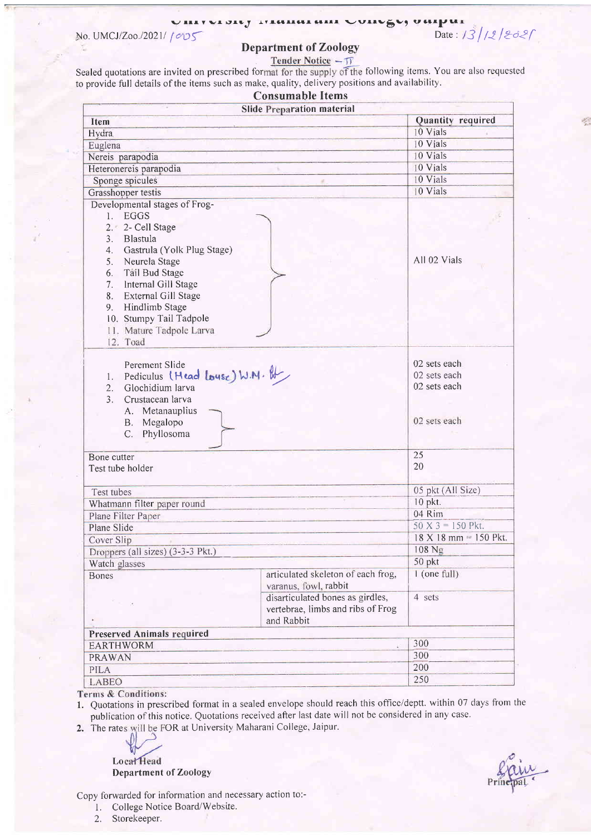#### vi sity resultu  $\sim$  villeges valle  $\frac{d}{d}$ Date: 13/12/2021

No. UMCJ/Zoo./2021/  $1005$ 

### Department of Zoology

Sealed quotations are invited on prescribed format for the supply of the following items. You are also requested to provide full details of the items such as makg, quality, delivery positions and availability.

|                                                                                                                                                                                                                                                                                             | <b>Consumable Items</b>                                                             |                     |
|---------------------------------------------------------------------------------------------------------------------------------------------------------------------------------------------------------------------------------------------------------------------------------------------|-------------------------------------------------------------------------------------|---------------------|
|                                                                                                                                                                                                                                                                                             | <b>Slide Preparation material</b>                                                   |                     |
| <b>Item</b>                                                                                                                                                                                                                                                                                 | Quantity required                                                                   |                     |
| Hydra                                                                                                                                                                                                                                                                                       | 10 Vials                                                                            |                     |
| Euglena                                                                                                                                                                                                                                                                                     |                                                                                     | 10 Vials            |
| Nereis parapodia                                                                                                                                                                                                                                                                            |                                                                                     | 10 Vials            |
| Heteronereis parapodia                                                                                                                                                                                                                                                                      |                                                                                     | 10 Vials            |
| Sponge spicules                                                                                                                                                                                                                                                                             |                                                                                     | 10 Vials            |
| Grasshopper testis                                                                                                                                                                                                                                                                          |                                                                                     | 10 Vials            |
| Developmental stages of Frog-<br>1. EGGS<br>2. 2- Cell Stage<br>3. Blastula<br>4. Gastrula (Yolk Plug Stage)<br>5. Neurela Stage<br>6. Tail Bud Stage<br>Internal Gill Stage<br>7.<br>External Gill Stage<br>8.<br>9. Hindlimb Stage<br>10. Stumpy Tail Tadpole<br>11. Mature Tadpole Larva |                                                                                     | All 02 Vials        |
| 12. Toad<br>Perement Slide<br>1. Pediculus (Head Louse) W.M. &<br>Glochidium larva<br>2.<br>3 <sub>1</sub><br>Crustacean larva<br>A. Metanauplius<br>B. Megalopo<br>C. Phyllosoma                                                                                                           | 02 sets each<br>02 sets each<br>02 sets each<br>02 sets each                        |                     |
| Bone cutter                                                                                                                                                                                                                                                                                 |                                                                                     | 25                  |
| Test tube holder                                                                                                                                                                                                                                                                            | 20                                                                                  |                     |
| Test tubes                                                                                                                                                                                                                                                                                  | 05 pkt (All Size)                                                                   |                     |
| Whatmann filter paper round                                                                                                                                                                                                                                                                 |                                                                                     | 10 pkt.             |
| Plane Filter Paper                                                                                                                                                                                                                                                                          |                                                                                     | 04 Rim              |
| Plane Slide                                                                                                                                                                                                                                                                                 |                                                                                     | $50 X 3 = 150$ Pkt. |
| Cover Slip                                                                                                                                                                                                                                                                                  | 18 X 18 mm = 150 Pkt.                                                               |                     |
| Droppers (all sizes) (3-3-3 Pkt.)                                                                                                                                                                                                                                                           | 108 Ng                                                                              |                     |
| Watch glasses                                                                                                                                                                                                                                                                               | 50 pkt                                                                              |                     |
| Bones                                                                                                                                                                                                                                                                                       | articulated skeleton of each frog,<br>varanus, fowl, rabbit                         | $1$ (one full)      |
|                                                                                                                                                                                                                                                                                             | disarticulated bones as girdles,<br>vertebrae, limbs and ribs of Frog<br>and Rabbit | 4 sets              |
| <b>Preserved Animals required</b>                                                                                                                                                                                                                                                           |                                                                                     |                     |
| <b>EARTHWORM</b>                                                                                                                                                                                                                                                                            | 300                                                                                 |                     |
| PRAWAN                                                                                                                                                                                                                                                                                      | 300                                                                                 |                     |
| PILA                                                                                                                                                                                                                                                                                        |                                                                                     | 200                 |
| LABEO                                                                                                                                                                                                                                                                                       |                                                                                     | 250                 |

1. Quotations in prescribed format in a sealed envelope should reach this office/deptt. within 07 days from the publication of this notice. Quotations received after last date will not be considered in any case.

2. The rates will be FOR at University Maharani College, Jaipur.

**Local** Head Department of Zoology

Copy forwarded for information and necessary action to:-

- l. College Notice Board/Website.
- 2. Storekeeper.

!)':